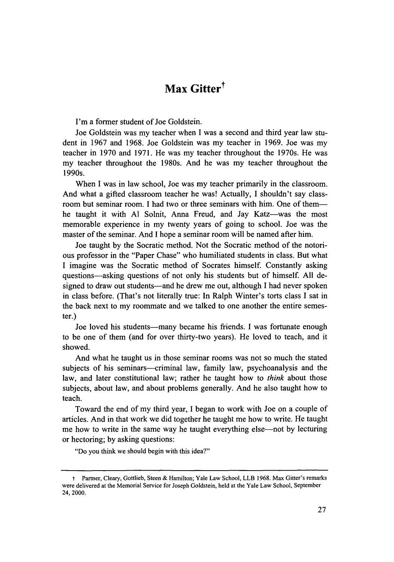## Max Gitter<sup>†</sup>

I'm a former student of Joe Goldstein.

Joe Goldstein was my teacher when I was a second and third year law student in 1967 and 1968. Joe Goldstein was my teacher in 1969. Joe was my teacher in 1970 and 1971. He was my teacher throughout the 1970s. He was my teacher throughout the 1980s. And he was my teacher throughout the 1990s.

When I was in law school, Joe was my teacher primarily in the classroom. And what a gifted classroom teacher he was! Actually, I shouldn't say classroom but seminar room. I had two or three seminars with him. One of themhe taught it with Al Solnit, Anna Freud, and Jay Katz-was the most memorable experience in my twenty years of going to school. Joe was the master of the seminar. And I hope a seminar room will be named after him.

Joe taught by the Socratic method. Not the Socratic method of the notorious professor in the "Paper Chase" who humiliated students in class. But what I imagine was the Socratic method of Socrates himself. Constantly asking questions-asking questions of not only his students but of himself. All designed to draw out students—and he drew me out, although I had never spoken in class before. (That's not literally true: In Ralph Winter's torts class I sat in the back next to my roommate and we talked to one another the entire semester.)

Joe loved his students-many became his friends. I was fortunate enough to be one of them (and for over thirty-two years). He loved to teach, and it showed.

And what he taught us in those seminar rooms was not so much the stated subjects of his seminars—criminal law, family law, psychoanalysis and the law, and later constitutional law; rather he taught how to *think* about those subjects, about law, and about problems generally. And he also taught how to teach.

Toward the end of my third year, I began to work with Joe on a couple of articles. And in that work we did together he taught me how to write. He taught me how to write in the same way he taught everything else—not by lecturing or hectoring; by asking questions:

"Do you think we should begin with this idea?"

t Partner, Cleary, Gottlieb, Steen & Hamilton; Yale Law School, LLB 1968. Max Gitter's remarks were delivered at the Memorial Service for Joseph Goldstein, held at the Yale Law School, September 24, 2000.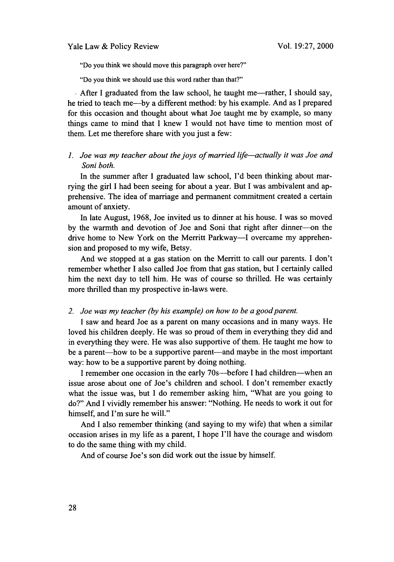"Do you think we should move this paragraph over here?"

"Do you think we should use this word rather than that?"

After I graduated from the law school, he taught me—rather, I should say, he tried to teach me—by a different method: by his example. And as I prepared for this occasion and thought about what Joe taught me by example, so many things came to mind that I knew I would not have time to mention most of them. Let me therefore share with you just a few:

## *1. Joe was my teacher about the joys of married life-actually it was Joe and Soni both.*

In the summer after I graduated law school, I'd been thinking about marrying the girl I had been seeing for about a year. But I was ambivalent and apprehensive. The idea of marriage and permanent commitment created a certain amount of anxiety.

In late August, 1968, Joe invited us to dinner at his house. I was so moved by the warmth and devotion of Joe and Soni that right after dinner--on the drive home to New York on the Merritt Parkway—I overcame my apprehension and proposed to my wife, Betsy.

And we stopped at a gas station on the Merritt to call our parents. I don't remember whether I also called Joe from that gas station, but I certainly called him the next day to tell him. He was of course so thrilled. He was certainly more thrilled than my prospective in-laws were.

*2. Joe was my teacher (by his example) on how to be a goodparent.*

I saw and heard Joe as a parent on many occasions and in many ways. He loved his children deeply. He was so proud of them in everything they did and in everything they were. He was also supportive of them. He taught me how to be a parent-how to be a supportive parent-and maybe in the most important way: how to be a supportive parent by doing nothing.

I remember one occasion in the early 70s—before I had children—when an issue arose about one of Joe's children and school. I don't remember exactly what the issue was, but I do remember asking him, "What are you going to do?" And I vividly remember his answer: "Nothing. He needs to work it out for himself, and I'm sure he will."

And I also remember thinking (and saying to my wife) that when a similar occasion arises in my life as a parent, I hope I'll have the courage and wisdom to do the same thing with my child.

And of course Joe's son did work out the issue by himself.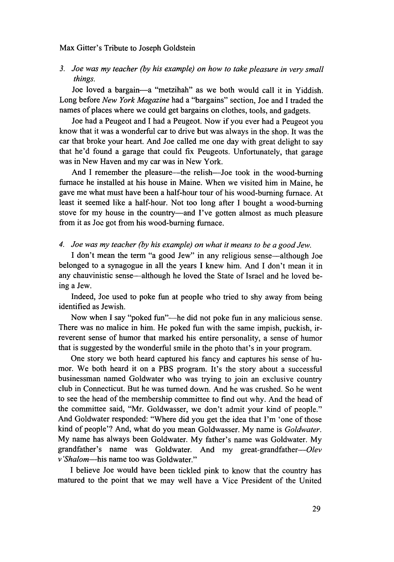## Max Gitter's Tribute to Joseph Goldstein

## *3. Joe was my teacher (by his example) on how to take pleasure in very small things.*

Joe loved a bargain-a "metzihah" as we both would call it in Yiddish. Long before *New York Magazine* had a "bargains" section, Joe and I traded the names of places where we could get bargains on clothes, tools, and gadgets.

Joe had a Peugeot and I had a Peugeot. Now if you ever had a Peugeot you know that it was a wonderful car to drive but was always in the shop. It was the car that broke your heart. And Joe called me one day with great delight to say that he'd found a garage that could fix Peugeots. Unfortunately, that garage was in New Haven and my car was in New York.

And I remember the pleasure—the relish—Joe took in the wood-burning furnace he installed at his house in Maine. When we visited him in Maine, he gave me what must have been a half-hour tour of his wood-burning furnace. At least it seemed like a half-hour. Not too long after I bought a wood-burning stove for my house in the country—and I've gotten almost as much pleasure from it as Joe got from his wood-burning furnace.

*4. Joe was my teacher (by his example) on what it means to be a good Jew.*

I don't mean the term "a good Jew" in any religious sense—although Joe belonged to a synagogue in all the years I knew him. And I don't mean it in any chauvinistic sense-although he loved the State of Israel and he loved being a Jew.

Indeed, Joe used to poke fun at people who tried to shy away from being identified as Jewish.

Now when I say "poked fun"—he did not poke fun in any malicious sense. There was no malice in him. He poked fun with the same impish, puckish, irreverent sense of humor that marked his entire personality, a sense of humor that is suggested by the wonderful smile in the photo that's in your program.

One story we both heard captured his fancy and captures his sense of humor. We both heard it on a PBS program. It's the story about a successful businessman named Goldwater who was trying to join an exclusive country club in Connecticut. But he was turned down. And he was crushed. So he went to see the head of the membership committee to find out why. And the head of the committee said, "Mr. Goldwasser, we don't admit your kind of people." And Goldwater responded: "Where did you get the idea that I'm 'one of those kind of people'? And, what do you mean Goldwasser. My name is *Goldwater.* My name has always been Goldwater. My father's name was Goldwater. My grandfather's name was Goldwater. And my great-grandfather--Olev *v'Shalom-his* name too was Goldwater."

I believe Joe would have been tickled pink to know that the country has matured to the point that we may well have a Vice President of the United